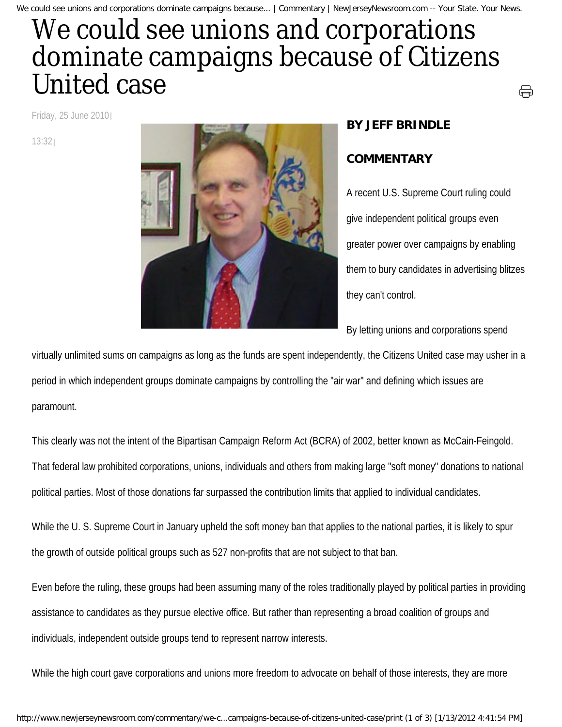## We could see unions and corporations dominate campaigns because of Citizens United case

Friday, 25 June 2010

13:32



## **BY JEFF BRINDLE**

## **COMMENTARY**

A recent U.S. Supreme Court ruling could give independent political groups even greater power over campaigns by enabling them to bury candidates in advertising blitzes they can't control.

⊜

By letting unions and corporations spend

virtually unlimited sums on campaigns as long as the funds are spent independently, the Citizens United case may usher in a period in which independent groups dominate campaigns by controlling the "air war" and defining which issues are paramount.

This clearly was not the intent of the Bipartisan Campaign Reform Act (BCRA) of 2002, better known as McCain-Feingold. That federal law prohibited corporations, unions, individuals and others from making large "soft money" donations to national political parties. Most of those donations far surpassed the contribution limits that applied to individual candidates.

While the U. S. Supreme Court in January upheld the soft money ban that applies to the national parties, it is likely to spur the growth of outside political groups such as 527 non-profits that are not subject to that ban.

Even before the ruling, these groups had been assuming many of the roles traditionally played by political parties in providing assistance to candidates as they pursue elective office. But rather than representing a broad coalition of groups and individuals, independent outside groups tend to represent narrow interests.

While the high court gave corporations and unions more freedom to advocate on behalf of those interests, they are more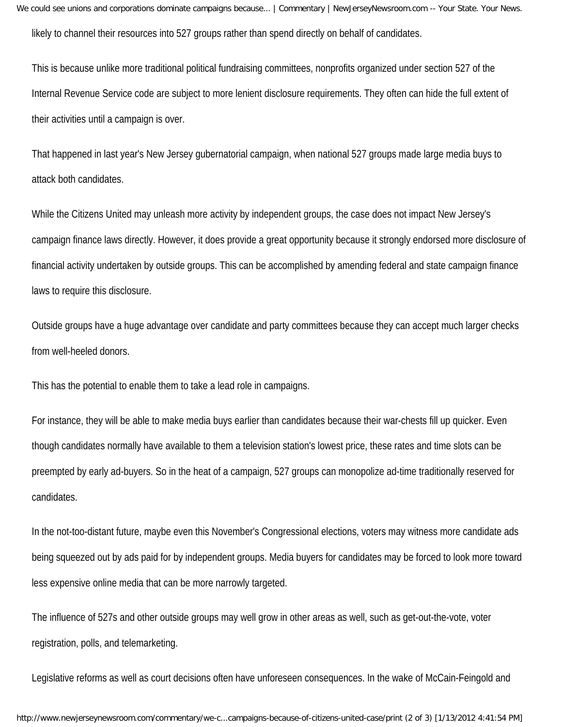We could see unions and corporations dominate campaigns because... | Commentary | NewJerseyNewsroom.com -- Your State. Your News. likely to channel their resources into 527 groups rather than spend directly on behalf of candidates.

This is because unlike more traditional political fundraising committees, nonprofits organized under section 527 of the Internal Revenue Service code are subject to more lenient disclosure requirements. They often can hide the full extent of their activities until a campaign is over.

That happened in last year's New Jersey gubernatorial campaign, when national 527 groups made large media buys to attack both candidates.

While the Citizens United may unleash more activity by independent groups, the case does not impact New Jersey's campaign finance laws directly. However, it does provide a great opportunity because it strongly endorsed more disclosure of financial activity undertaken by outside groups. This can be accomplished by amending federal and state campaign finance laws to require this disclosure.

Outside groups have a huge advantage over candidate and party committees because they can accept much larger checks from well-heeled donors.

This has the potential to enable them to take a lead role in campaigns.

For instance, they will be able to make media buys earlier than candidates because their war-chests fill up quicker. Even though candidates normally have available to them a television station's lowest price, these rates and time slots can be preempted by early ad-buyers. So in the heat of a campaign, 527 groups can monopolize ad-time traditionally reserved for candidates.

In the not-too-distant future, maybe even this November's Congressional elections, voters may witness more candidate ads being squeezed out by ads paid for by independent groups. Media buyers for candidates may be forced to look more toward less expensive online media that can be more narrowly targeted.

The influence of 527s and other outside groups may well grow in other areas as well, such as get-out-the-vote, voter registration, polls, and telemarketing.

Legislative reforms as well as court decisions often have unforeseen consequences. In the wake of McCain-Feingold and